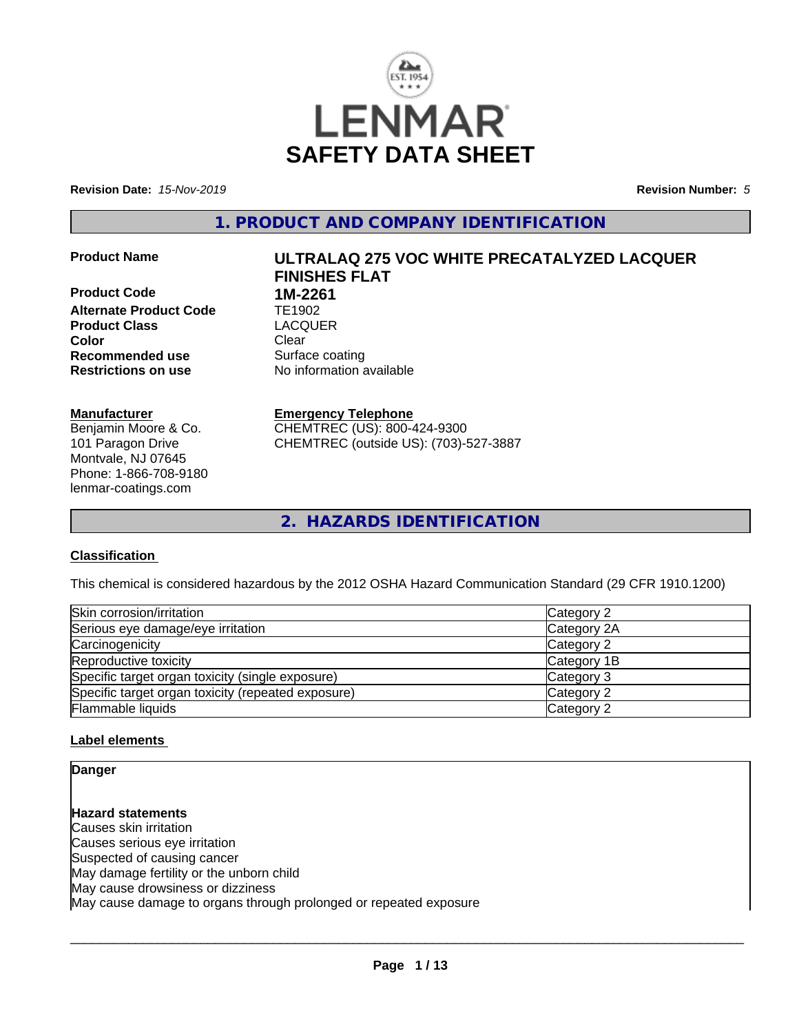

**Revision Date:** *15-Nov-2019* **Revision Number:** *5*

**1. PRODUCT AND COMPANY IDENTIFICATION**

**Product Code 1M-2261 Alternate Product Code TE1902**<br> **Product Class** LACQUER **Product Class Color** Clear Clear **Recommended use** Surface coating **Restrictions on use** No information available

#### **Manufacturer**

Benjamin Moore & Co. 101 Paragon Drive Montvale, NJ 07645 Phone: 1-866-708-9180 lenmar-coatings.com

# **Product Name ULTRALAQ 275 VOC WHITE PRECATALYZED LACQUER FINISHES FLAT**

**Emergency Telephone** CHEMTREC (US): 800-424-9300

CHEMTREC (outside US): (703)-527-3887

**2. HAZARDS IDENTIFICATION**

#### **Classification**

This chemical is considered hazardous by the 2012 OSHA Hazard Communication Standard (29 CFR 1910.1200)

| Skin corrosion/irritation                          | Category 2  |
|----------------------------------------------------|-------------|
| Serious eye damage/eye irritation                  | Category 2A |
| Carcinogenicity                                    | Category 2  |
| Reproductive toxicity                              | Category 1B |
| Specific target organ toxicity (single exposure)   | Category 3  |
| Specific target organ toxicity (repeated exposure) | Category 2  |
| Flammable liquids                                  | Category 2  |

#### **Label elements**

**Danger**

**Hazard statements** Causes skin irritation Causes serious eye irritation Suspected of causing cancer May damage fertility or the unborn child May cause drowsiness or dizziness May cause damage to organs through prolonged or repeated exposure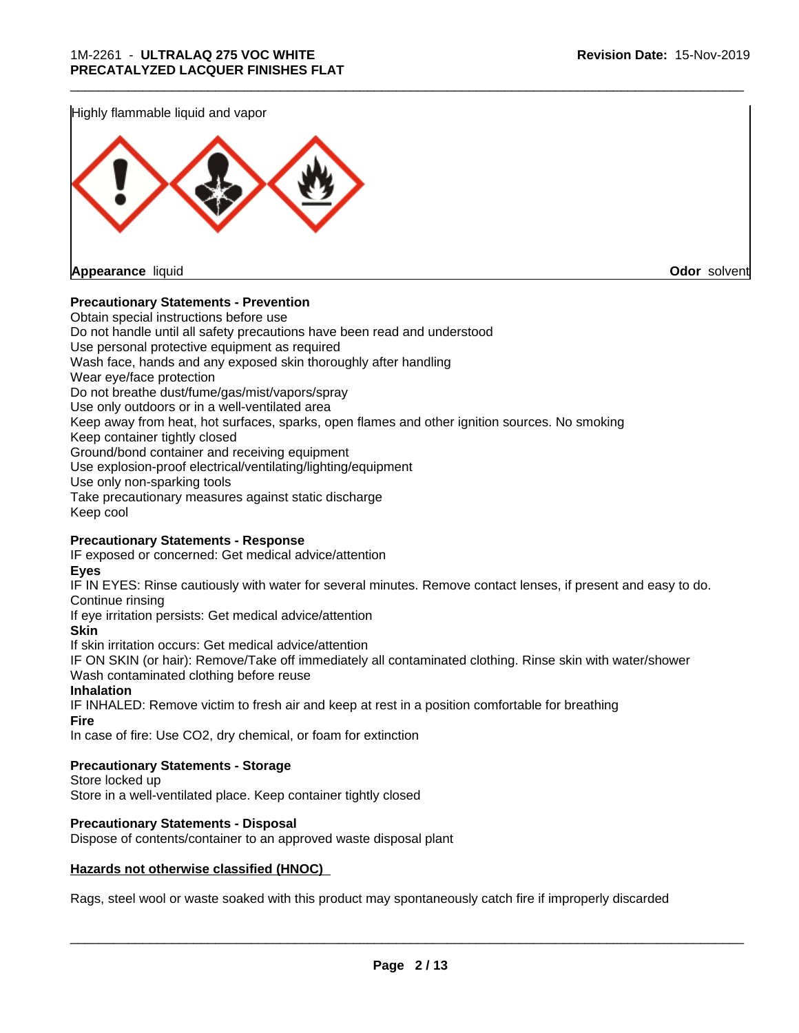Highly flammable liquid and vapor



#### **Precautionary Statements - Prevention**

Obtain special instructions before use Do not handle until all safety precautions have been read and understood Use personal protective equipment as required Wash face, hands and any exposed skin thoroughly after handling Wear eye/face protection Do not breathe dust/fume/gas/mist/vapors/spray Use only outdoors or in a well-ventilated area Keep away from heat, hot surfaces, sparks, open flames and other ignition sources. No smoking Keep container tightly closed Ground/bond container and receiving equipment Use explosion-proof electrical/ventilating/lighting/equipment Use only non-sparking tools Take precautionary measures against static discharge Keep cool

\_\_\_\_\_\_\_\_\_\_\_\_\_\_\_\_\_\_\_\_\_\_\_\_\_\_\_\_\_\_\_\_\_\_\_\_\_\_\_\_\_\_\_\_\_\_\_\_\_\_\_\_\_\_\_\_\_\_\_\_\_\_\_\_\_\_\_\_\_\_\_\_\_\_\_\_\_\_\_\_\_\_\_\_\_\_\_\_\_\_\_\_\_

#### **Precautionary Statements - Response**

IF exposed or concerned: Get medical advice/attention

**Eyes**

IF IN EYES: Rinse cautiously with water for several minutes. Remove contact lenses, if present and easy to do. Continue rinsing

If eye irritation persists: Get medical advice/attention

**Skin**

If skin irritation occurs: Get medical advice/attention

IF ON SKIN (or hair): Remove/Take off immediately all contaminated clothing. Rinse skin with water/shower Wash contaminated clothing before reuse

#### **Inhalation**

IF INHALED: Remove victim to fresh air and keep at rest in a position comfortable for breathing **Fire**

In case of fire: Use CO2, dry chemical, or foam for extinction

#### **Precautionary Statements - Storage**

Store locked up Store in a well-ventilated place. Keep container tightly closed

#### **Precautionary Statements - Disposal**

Dispose of contents/container to an approved waste disposal plant

#### **Hazards not otherwise classified (HNOC)**

Rags, steel wool or waste soaked with this product may spontaneously catch fire if improperly discarded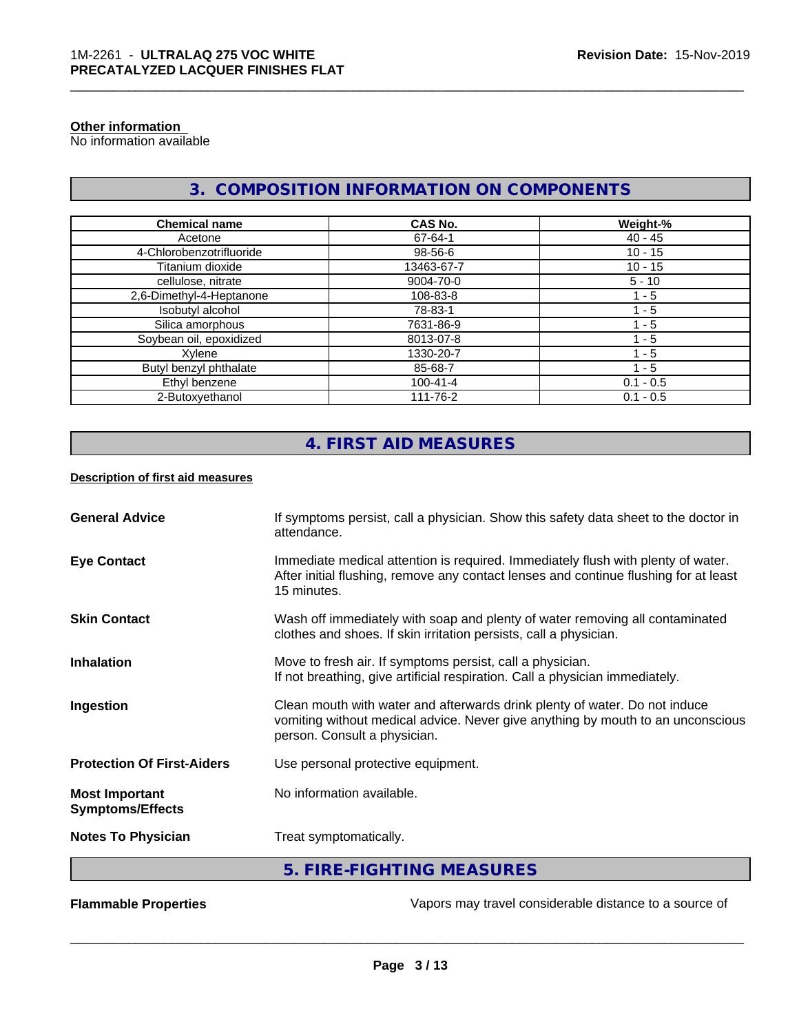#### **Other information**

No information available

# **3. COMPOSITION INFORMATION ON COMPONENTS**

| <b>Chemical name</b>     | CAS No.        | Weight-%    |
|--------------------------|----------------|-------------|
| Acetone                  | 67-64-1        | 40 - 45     |
| 4-Chlorobenzotrifluoride | 98-56-6        | $10 - 15$   |
| Titanium dioxide         | 13463-67-7     | $10 - 15$   |
| cellulose, nitrate       | 9004-70-0      | $5 - 10$    |
| 2,6-Dimethyl-4-Heptanone | 108-83-8       | 1 - 5       |
| Isobutyl alcohol         | 78-83-1        | 1 - 5       |
| Silica amorphous         | 7631-86-9      | 1 - 5       |
| Soybean oil, epoxidized  | 8013-07-8      | $-5$        |
| Xylene                   | 1330-20-7      | 1 - 5       |
| Butyl benzyl phthalate   | 85-68-7        | 1 - 5       |
| Ethyl benzene            | $100 - 41 - 4$ | $0.1 - 0.5$ |
| 2-Butoxyethanol          | 111-76-2       | $0.1 - 0.5$ |

# **4. FIRST AID MEASURES**

#### **Description of first aid measures**

| <b>General Advice</b>                            | If symptoms persist, call a physician. Show this safety data sheet to the doctor in<br>attendance.                                                                                            |
|--------------------------------------------------|-----------------------------------------------------------------------------------------------------------------------------------------------------------------------------------------------|
| <b>Eye Contact</b>                               | Immediate medical attention is required. Immediately flush with plenty of water.<br>After initial flushing, remove any contact lenses and continue flushing for at least<br>15 minutes.       |
| <b>Skin Contact</b>                              | Wash off immediately with soap and plenty of water removing all contaminated<br>clothes and shoes. If skin irritation persists, call a physician.                                             |
| <b>Inhalation</b>                                | Move to fresh air. If symptoms persist, call a physician.<br>If not breathing, give artificial respiration. Call a physician immediately.                                                     |
| Ingestion                                        | Clean mouth with water and afterwards drink plenty of water. Do not induce<br>vomiting without medical advice. Never give anything by mouth to an unconscious<br>person. Consult a physician. |
| <b>Protection Of First-Aiders</b>                | Use personal protective equipment.                                                                                                                                                            |
| <b>Most Important</b><br><b>Symptoms/Effects</b> | No information available.                                                                                                                                                                     |
| <b>Notes To Physician</b>                        | Treat symptomatically.                                                                                                                                                                        |
|                                                  | 5. FIRE-FIGHTING MEASURES                                                                                                                                                                     |

**Flammable Properties Exercise Exercise Exercise 2 and Secure 1** Vapors may travel considerable distance to a source of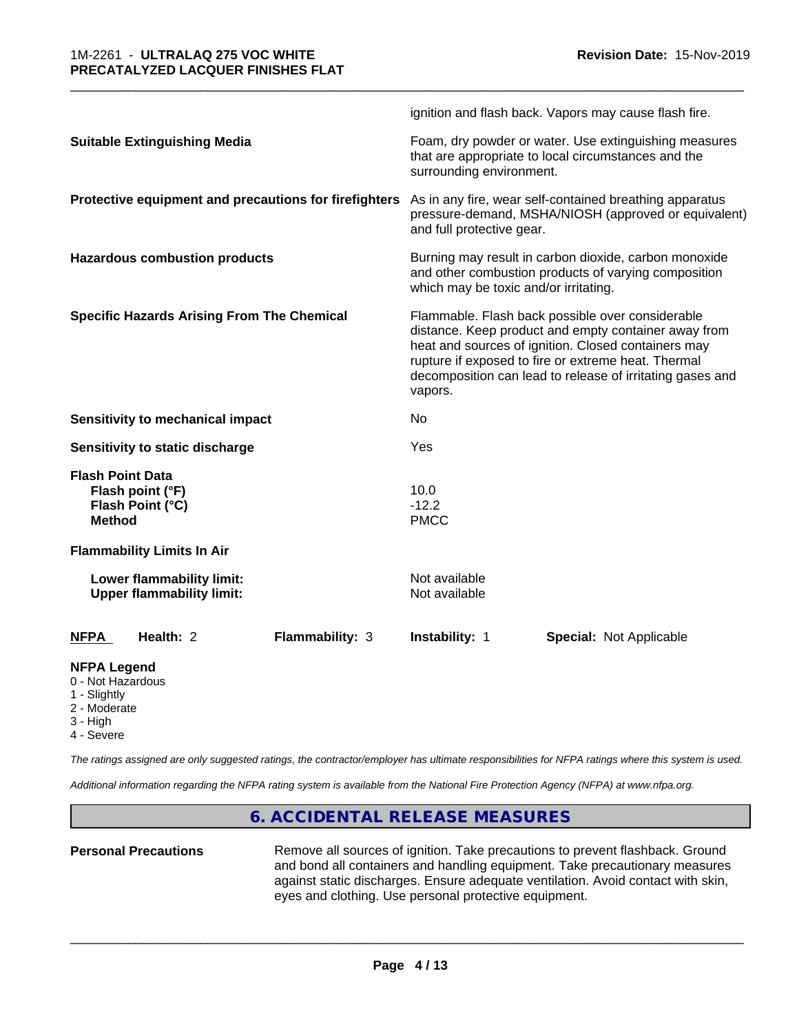|                                                                                  | ignition and flash back. Vapors may cause flash fire.                                                                                                                                                                                                                                          |  |
|----------------------------------------------------------------------------------|------------------------------------------------------------------------------------------------------------------------------------------------------------------------------------------------------------------------------------------------------------------------------------------------|--|
| <b>Suitable Extinguishing Media</b>                                              | Foam, dry powder or water. Use extinguishing measures<br>that are appropriate to local circumstances and the<br>surrounding environment.                                                                                                                                                       |  |
| Protective equipment and precautions for firefighters                            | As in any fire, wear self-contained breathing apparatus<br>pressure-demand, MSHA/NIOSH (approved or equivalent)<br>and full protective gear.                                                                                                                                                   |  |
| <b>Hazardous combustion products</b>                                             | Burning may result in carbon dioxide, carbon monoxide<br>and other combustion products of varying composition<br>which may be toxic and/or irritating.                                                                                                                                         |  |
| <b>Specific Hazards Arising From The Chemical</b>                                | Flammable. Flash back possible over considerable<br>distance. Keep product and empty container away from<br>heat and sources of ignition. Closed containers may<br>rupture if exposed to fire or extreme heat. Thermal<br>decomposition can lead to release of irritating gases and<br>vapors. |  |
| Sensitivity to mechanical impact                                                 | No                                                                                                                                                                                                                                                                                             |  |
| Sensitivity to static discharge                                                  | Yes                                                                                                                                                                                                                                                                                            |  |
| <b>Flash Point Data</b><br>Flash point (°F)<br>Flash Point (°C)<br><b>Method</b> | 10.0<br>$-12.2$<br><b>PMCC</b>                                                                                                                                                                                                                                                                 |  |
| <b>Flammability Limits In Air</b>                                                |                                                                                                                                                                                                                                                                                                |  |
| Lower flammability limit:<br><b>Upper flammability limit:</b>                    | Not available<br>Not available                                                                                                                                                                                                                                                                 |  |
| <b>NFPA</b><br>Health: 2<br>Flammability: 3                                      | <b>Instability: 1</b><br><b>Special: Not Applicable</b>                                                                                                                                                                                                                                        |  |
| <b>NFPA Legend</b><br>0 - Not Hazardous<br>1 - Slightly                          |                                                                                                                                                                                                                                                                                                |  |

\_\_\_\_\_\_\_\_\_\_\_\_\_\_\_\_\_\_\_\_\_\_\_\_\_\_\_\_\_\_\_\_\_\_\_\_\_\_\_\_\_\_\_\_\_\_\_\_\_\_\_\_\_\_\_\_\_\_\_\_\_\_\_\_\_\_\_\_\_\_\_\_\_\_\_\_\_\_\_\_\_\_\_\_\_\_\_\_\_\_\_\_\_

- 2 Moderate
- 3 High
- 
- 4 Severe

*The ratings assigned are only suggested ratings, the contractor/employer has ultimate responsibilities for NFPA ratings where this system is used.*

*Additional information regarding the NFPA rating system is available from the National Fire Protection Agency (NFPA) at www.nfpa.org.*

### **6. ACCIDENTAL RELEASE MEASURES**

**Personal Precautions** Remove all sources of ignition. Take precautions to prevent flashback. Ground and bond all containers and handling equipment. Take precautionary measures against static discharges. Ensure adequate ventilation. Avoid contact with skin, eyes and clothing. Use personal protective equipment.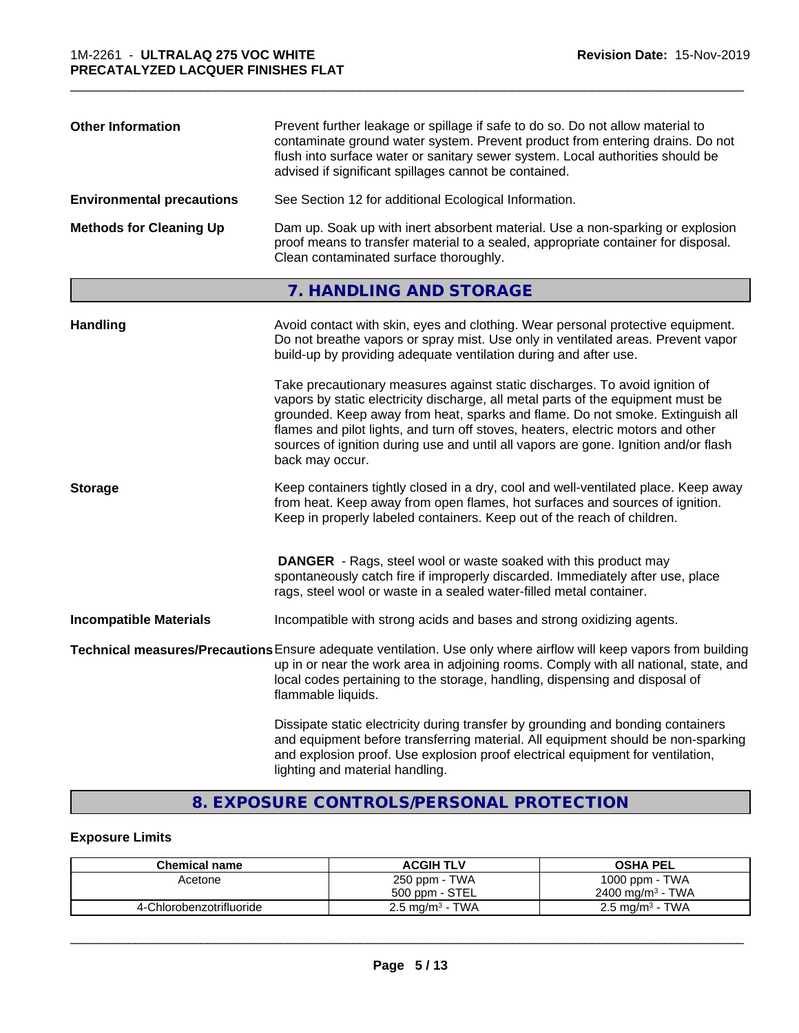| contaminate ground water system. Prevent product from entering drains. Do not<br>flush into surface water or sanitary sewer system. Local authorities should be<br>advised if significant spillages cannot be contained.                        |
|-------------------------------------------------------------------------------------------------------------------------------------------------------------------------------------------------------------------------------------------------|
| See Section 12 for additional Ecological Information.<br><b>Environmental precautions</b>                                                                                                                                                       |
| <b>Methods for Cleaning Up</b><br>Dam up. Soak up with inert absorbent material. Use a non-sparking or explosion<br>proof means to transfer material to a sealed, appropriate container for disposal.<br>Clean contaminated surface thoroughly. |

\_\_\_\_\_\_\_\_\_\_\_\_\_\_\_\_\_\_\_\_\_\_\_\_\_\_\_\_\_\_\_\_\_\_\_\_\_\_\_\_\_\_\_\_\_\_\_\_\_\_\_\_\_\_\_\_\_\_\_\_\_\_\_\_\_\_\_\_\_\_\_\_\_\_\_\_\_\_\_\_\_\_\_\_\_\_\_\_\_\_\_\_\_

# **7. HANDLING AND STORAGE**

| <b>Handling</b>               | Avoid contact with skin, eyes and clothing. Wear personal protective equipment.<br>Do not breathe vapors or spray mist. Use only in ventilated areas. Prevent vapor<br>build-up by providing adequate ventilation during and after use.                                                                                                                                                                                                        |
|-------------------------------|------------------------------------------------------------------------------------------------------------------------------------------------------------------------------------------------------------------------------------------------------------------------------------------------------------------------------------------------------------------------------------------------------------------------------------------------|
|                               | Take precautionary measures against static discharges. To avoid ignition of<br>vapors by static electricity discharge, all metal parts of the equipment must be<br>grounded. Keep away from heat, sparks and flame. Do not smoke. Extinguish all<br>flames and pilot lights, and turn off stoves, heaters, electric motors and other<br>sources of ignition during use and until all vapors are gone. Ignition and/or flash<br>back may occur. |
| <b>Storage</b>                | Keep containers tightly closed in a dry, cool and well-ventilated place. Keep away<br>from heat. Keep away from open flames, hot surfaces and sources of ignition.<br>Keep in properly labeled containers. Keep out of the reach of children.                                                                                                                                                                                                  |
|                               | <b>DANGER</b> - Rags, steel wool or waste soaked with this product may<br>spontaneously catch fire if improperly discarded. Immediately after use, place<br>rags, steel wool or waste in a sealed water-filled metal container.                                                                                                                                                                                                                |
| <b>Incompatible Materials</b> | Incompatible with strong acids and bases and strong oxidizing agents.                                                                                                                                                                                                                                                                                                                                                                          |
|                               | Technical measures/Precautions Ensure adequate ventilation. Use only where airflow will keep vapors from building<br>up in or near the work area in adjoining rooms. Comply with all national, state, and<br>local codes pertaining to the storage, handling, dispensing and disposal of<br>flammable liquids.                                                                                                                                 |
|                               | Dissipate static electricity during transfer by grounding and bonding containers<br>and equipment before transferring material. All equipment should be non-sparking<br>and explosion proof. Use explosion proof electrical equipment for ventilation,                                                                                                                                                                                         |

# **8. EXPOSURE CONTROLS/PERSONAL PROTECTION**

lighting and material handling.

### **Exposure Limits**

| <b>Chemical name</b>     | <b>ACGIH TLV</b>           | <b>OSHA PEL</b>             |
|--------------------------|----------------------------|-----------------------------|
| Acetone                  | 250 ppm - TWA              | 1000 ppm - TWA              |
|                          | 500 ppm - STEL             | $2400 \text{ ma/m}^3$ - TWA |
| 4-Chlorobenzotrifluoride | $2.5 \text{ mg/m}^3$ - TWA | $2.5 \text{ mg/m}^3$ - TWA  |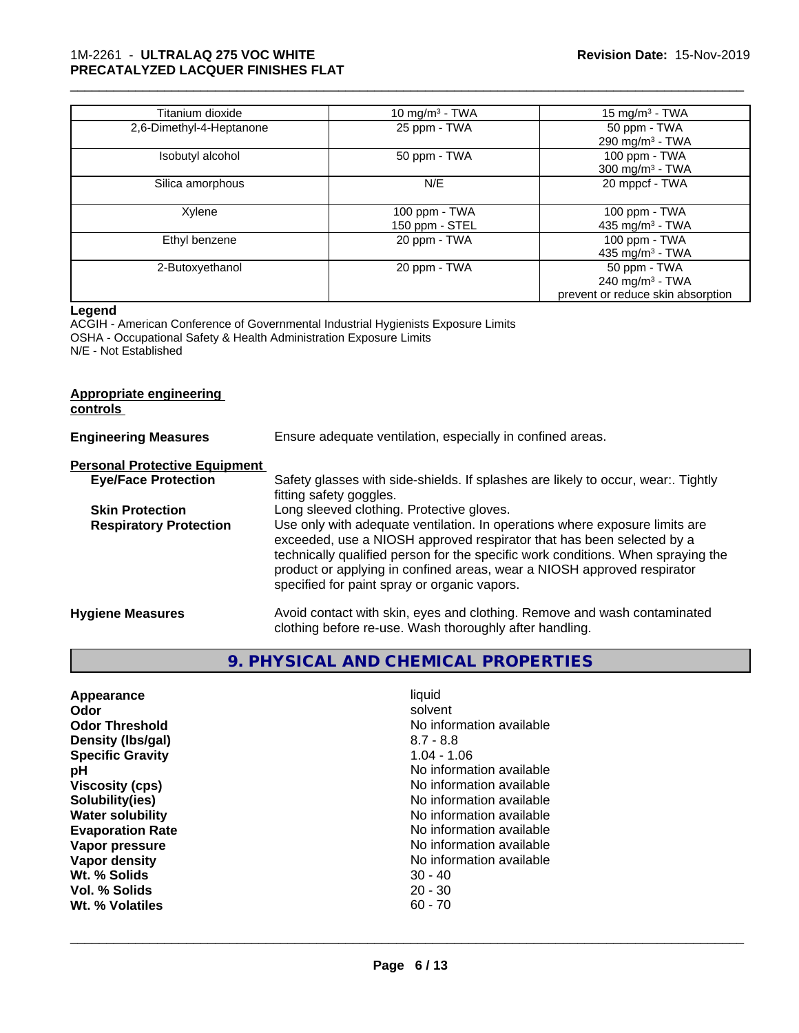#### 1M-2261 - **ULTRALAQ 275 VOC WHITE PRECATALYZED LACQUER FINISHES FLAT**

| Titanium dioxide         | 10 mg/m <sup>3</sup> - TWA      | 15 mg/m <sup>3</sup> - TWA                                                       |
|--------------------------|---------------------------------|----------------------------------------------------------------------------------|
| 2,6-Dimethyl-4-Heptanone | 25 ppm - TWA                    | 50 ppm - TWA<br>290 mg/m <sup>3</sup> - TWA                                      |
| Isobutyl alcohol         | 50 ppm - TWA                    | 100 ppm - TWA<br>$300$ mg/m <sup>3</sup> - TWA                                   |
| Silica amorphous         | N/E                             | 20 mppcf - TWA                                                                   |
| Xylene                   | 100 ppm - TWA<br>150 ppm - STEL | 100 ppm - TWA<br>435 mg/m <sup>3</sup> - TWA                                     |
| Ethyl benzene            | 20 ppm - TWA                    | 100 ppm - TWA<br>435 mg/m <sup>3</sup> - TWA                                     |
| 2-Butoxyethanol          | 20 ppm - TWA                    | 50 ppm - TWA<br>240 mg/m <sup>3</sup> - TWA<br>prevent or reduce skin absorption |

\_\_\_\_\_\_\_\_\_\_\_\_\_\_\_\_\_\_\_\_\_\_\_\_\_\_\_\_\_\_\_\_\_\_\_\_\_\_\_\_\_\_\_\_\_\_\_\_\_\_\_\_\_\_\_\_\_\_\_\_\_\_\_\_\_\_\_\_\_\_\_\_\_\_\_\_\_\_\_\_\_\_\_\_\_\_\_\_\_\_\_\_\_

#### **Legend**

ACGIH - American Conference of Governmental Industrial Hygienists Exposure Limits OSHA - Occupational Safety & Health Administration Exposure Limits N/E - Not Established

| <b>Appropriate engineering</b> |
|--------------------------------|
|--------------------------------|

**controls** 

| <b>Engineering Measures</b>          | Ensure adequate ventilation, especially in confined areas.                                                                                                                                                                                                                                                                                                          |  |
|--------------------------------------|---------------------------------------------------------------------------------------------------------------------------------------------------------------------------------------------------------------------------------------------------------------------------------------------------------------------------------------------------------------------|--|
| <b>Personal Protective Equipment</b> |                                                                                                                                                                                                                                                                                                                                                                     |  |
| <b>Eye/Face Protection</b>           | Safety glasses with side-shields. If splashes are likely to occur, wear:. Tightly<br>fitting safety goggles.                                                                                                                                                                                                                                                        |  |
| <b>Skin Protection</b>               | Long sleeved clothing. Protective gloves.                                                                                                                                                                                                                                                                                                                           |  |
| <b>Respiratory Protection</b>        | Use only with adequate ventilation. In operations where exposure limits are<br>exceeded, use a NIOSH approved respirator that has been selected by a<br>technically qualified person for the specific work conditions. When spraying the<br>product or applying in confined areas, wear a NIOSH approved respirator<br>specified for paint spray or organic vapors. |  |
| <b>Hygiene Measures</b>              | Avoid contact with skin, eyes and clothing. Remove and wash contaminated<br>clothing before re-use. Wash thoroughly after handling.                                                                                                                                                                                                                                 |  |

# **9. PHYSICAL AND CHEMICAL PROPERTIES**

| liquid<br>Appearance<br>solvent<br>Odor<br><b>Odor Threshold</b><br>No information available<br>Density (Ibs/gal)<br>$8.7 - 8.8$<br>$1.04 - 1.06$<br><b>Specific Gravity</b><br>No information available<br>рH<br>No information available<br><b>Viscosity (cps)</b><br>No information available<br>Solubility(ies)<br>No information available<br><b>Water solubility</b><br>No information available<br><b>Evaporation Rate</b><br>No information available<br>Vapor pressure<br>Vapor density<br>No information available<br>Wt. % Solids<br>$30 - 40$<br>$20 - 30$<br>Vol. % Solids<br>Wt. % Volatiles<br>$60 - 70$ |  |
|-------------------------------------------------------------------------------------------------------------------------------------------------------------------------------------------------------------------------------------------------------------------------------------------------------------------------------------------------------------------------------------------------------------------------------------------------------------------------------------------------------------------------------------------------------------------------------------------------------------------------|--|
|-------------------------------------------------------------------------------------------------------------------------------------------------------------------------------------------------------------------------------------------------------------------------------------------------------------------------------------------------------------------------------------------------------------------------------------------------------------------------------------------------------------------------------------------------------------------------------------------------------------------------|--|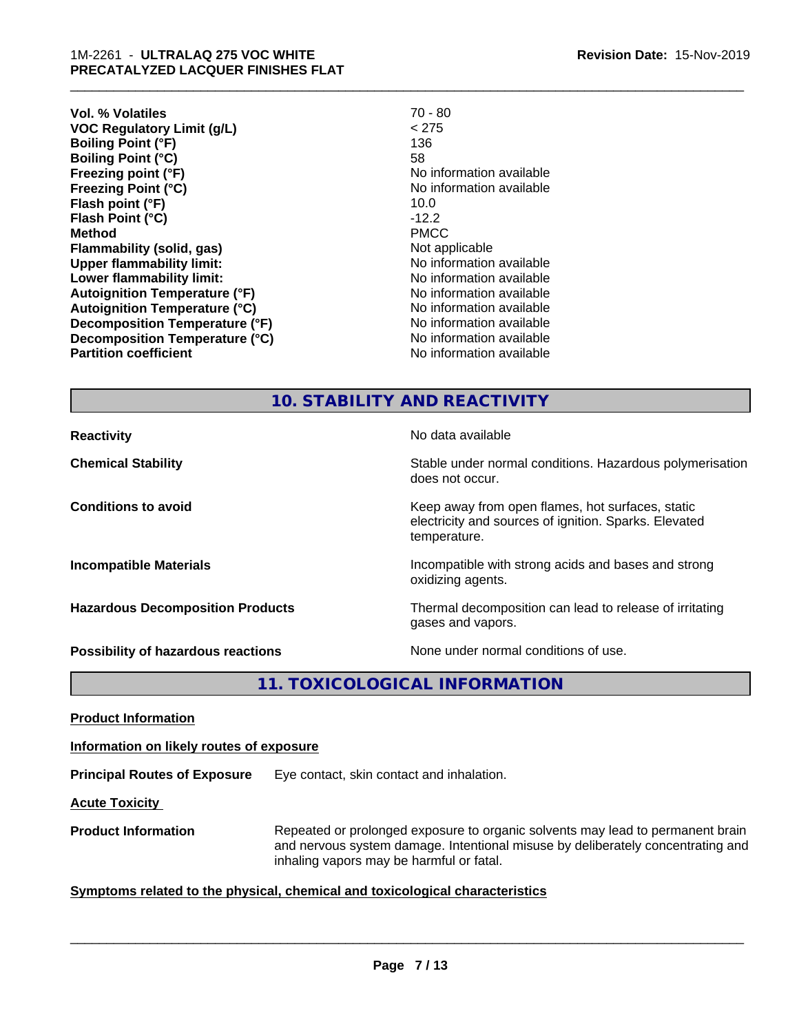| <b>Vol. % Volatiles</b>              | $70 - 80$                |
|--------------------------------------|--------------------------|
| <b>VOC Regulatory Limit (g/L)</b>    | < 275                    |
| <b>Boiling Point (°F)</b>            | 136                      |
| <b>Boiling Point (°C)</b>            | 58                       |
| Freezing point (°F)                  | No information available |
| <b>Freezing Point (°C)</b>           | No information available |
| Flash point (°F)                     | 10.0                     |
| Flash Point (°C)                     | $-12.2$                  |
| <b>Method</b>                        | <b>PMCC</b>              |
| Flammability (solid, gas)            | Not applicable           |
| <b>Upper flammability limit:</b>     | No information available |
| Lower flammability limit:            | No information available |
| <b>Autoignition Temperature (°F)</b> | No information available |
| <b>Autoignition Temperature (°C)</b> | No information available |
| Decomposition Temperature (°F)       | No information available |
| Decomposition Temperature (°C)       | No information available |
| <b>Partition coefficient</b>         | No information available |
|                                      |                          |

\_\_\_\_\_\_\_\_\_\_\_\_\_\_\_\_\_\_\_\_\_\_\_\_\_\_\_\_\_\_\_\_\_\_\_\_\_\_\_\_\_\_\_\_\_\_\_\_\_\_\_\_\_\_\_\_\_\_\_\_\_\_\_\_\_\_\_\_\_\_\_\_\_\_\_\_\_\_\_\_\_\_\_\_\_\_\_\_\_\_\_\_\_

# **10. STABILITY AND REACTIVITY**

| <b>Reactivity</b>                       | No data available                                                                                                         |
|-----------------------------------------|---------------------------------------------------------------------------------------------------------------------------|
| <b>Chemical Stability</b>               | Stable under normal conditions. Hazardous polymerisation<br>does not occur.                                               |
| <b>Conditions to avoid</b>              | Keep away from open flames, hot surfaces, static<br>electricity and sources of ignition. Sparks. Elevated<br>temperature. |
| <b>Incompatible Materials</b>           | Incompatible with strong acids and bases and strong<br>oxidizing agents.                                                  |
| <b>Hazardous Decomposition Products</b> | Thermal decomposition can lead to release of irritating<br>gases and vapors.                                              |
| Possibility of hazardous reactions      | None under normal conditions of use.                                                                                      |

**11. TOXICOLOGICAL INFORMATION**

**Product Information**

**Information on likely routes of exposure**

**Principal Routes of Exposure** Eye contact, skin contact and inhalation.

**Acute Toxicity** 

**Product Information** Repeated or prolonged exposure to organic solvents may lead to permanent brain and nervous system damage. Intentional misuse by deliberately concentrating and inhaling vapors may be harmful or fatal.

#### **<u>Symptoms related to the physical, chemical and toxicological characteristics</u>**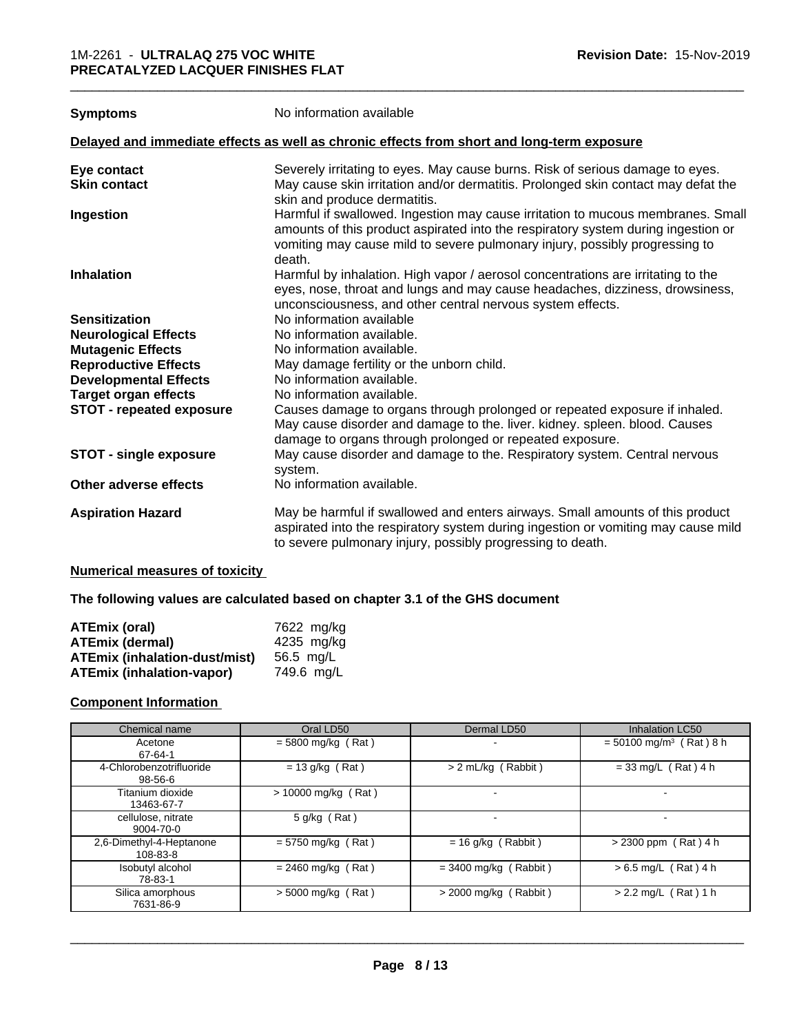|  | <b>Symptoms</b> |
|--|-----------------|
|--|-----------------|

**Symptoms** No information available

#### **Delayed and immediate effects as well as chronic effects from short and long-term exposure**

| Eye contact                     | Severely irritating to eyes. May cause burns. Risk of serious damage to eyes.                                                                                                                                                                                 |
|---------------------------------|---------------------------------------------------------------------------------------------------------------------------------------------------------------------------------------------------------------------------------------------------------------|
| <b>Skin contact</b>             | May cause skin irritation and/or dermatitis. Prolonged skin contact may defat the<br>skin and produce dermatitis.                                                                                                                                             |
| Ingestion                       | Harmful if swallowed. Ingestion may cause irritation to mucous membranes. Small<br>amounts of this product aspirated into the respiratory system during ingestion or<br>vomiting may cause mild to severe pulmonary injury, possibly progressing to<br>death. |
| <b>Inhalation</b>               | Harmful by inhalation. High vapor / aerosol concentrations are irritating to the<br>eyes, nose, throat and lungs and may cause headaches, dizziness, drowsiness,<br>unconsciousness, and other central nervous system effects.                                |
| <b>Sensitization</b>            | No information available                                                                                                                                                                                                                                      |
| <b>Neurological Effects</b>     | No information available.                                                                                                                                                                                                                                     |
| <b>Mutagenic Effects</b>        | No information available.                                                                                                                                                                                                                                     |
| <b>Reproductive Effects</b>     | May damage fertility or the unborn child.                                                                                                                                                                                                                     |
| <b>Developmental Effects</b>    | No information available.                                                                                                                                                                                                                                     |
| <b>Target organ effects</b>     | No information available.                                                                                                                                                                                                                                     |
| <b>STOT - repeated exposure</b> | Causes damage to organs through prolonged or repeated exposure if inhaled.<br>May cause disorder and damage to the. liver. kidney. spleen. blood. Causes<br>damage to organs through prolonged or repeated exposure.                                          |
| <b>STOT - single exposure</b>   | May cause disorder and damage to the. Respiratory system. Central nervous<br>system.                                                                                                                                                                          |
| Other adverse effects           | No information available.                                                                                                                                                                                                                                     |
| <b>Aspiration Hazard</b>        | May be harmful if swallowed and enters airways. Small amounts of this product<br>aspirated into the respiratory system during ingestion or vomiting may cause mild<br>to severe pulmonary injury, possibly progressing to death.                              |
|                                 |                                                                                                                                                                                                                                                               |

#### **Numerical measures of toxicity**

#### **The following values are calculated based on chapter 3.1 of the GHS document**

| <b>ATEmix (oral)</b>                 | 7622 mg/kg |
|--------------------------------------|------------|
| ATEmix (dermal)                      | 4235 mg/kg |
| <b>ATEmix (inhalation-dust/mist)</b> | 56.5 mg/L  |
| <b>ATEmix (inhalation-vapor)</b>     | 749.6 mg/L |

#### **Component Information**

| Chemical name                             | Oral LD50             | Dermal LD50             | <b>Inhalation LC50</b>                |
|-------------------------------------------|-----------------------|-------------------------|---------------------------------------|
| Acetone<br>67-64-1                        | $= 5800$ mg/kg (Rat)  |                         | $=$ 50100 mg/m <sup>3</sup> (Rat) 8 h |
| 4-Chlorobenzotrifluoride<br>$98 - 56 - 6$ | $= 13$ g/kg (Rat)     | > 2 mL/kg (Rabbit)      | $= 33$ mg/L (Rat) 4 h                 |
| Titanium dioxide<br>13463-67-7            | $> 10000$ mg/kg (Rat) |                         |                                       |
| cellulose, nitrate<br>9004-70-0           | 5 g/kg (Rat)          |                         |                                       |
| 2,6-Dimethyl-4-Heptanone<br>108-83-8      | $= 5750$ mg/kg (Rat)  | $= 16$ g/kg (Rabbit)    | $> 2300$ ppm (Rat) 4 h                |
| Isobutyl alcohol<br>78-83-1               | $= 2460$ mg/kg (Rat)  | $=$ 3400 mg/kg (Rabbit) | $> 6.5$ mg/L (Rat) 4 h                |
| Silica amorphous<br>7631-86-9             | $>$ 5000 mg/kg (Rat)  | $>$ 2000 mg/kg (Rabbit) | $> 2.2$ mg/L (Rat) 1 h                |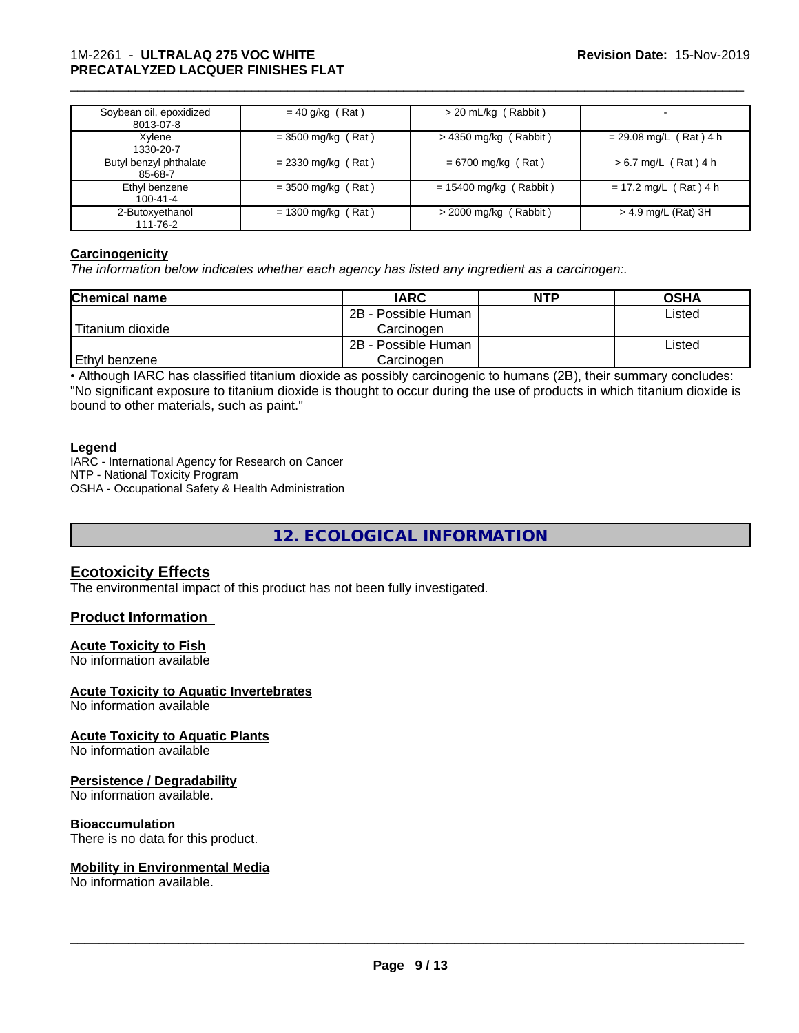### 1M-2261 - **ULTRALAQ 275 VOC WHITE PRECATALYZED LACQUER FINISHES FLAT**

| Soybean oil, epoxidized<br>8013-07-8 | $= 40$ g/kg (Rat)    | > 20 mL/kg (Rabbit)      |                          |
|--------------------------------------|----------------------|--------------------------|--------------------------|
| Xylene<br>1330-20-7                  | $=$ 3500 mg/kg (Rat) | $>$ 4350 mg/kg (Rabbit)  | $= 29.08$ mg/L (Rat) 4 h |
| Butyl benzyl phthalate<br>85-68-7    | $= 2330$ mg/kg (Rat) | $= 6700$ mg/kg (Rat)     | $> 6.7$ mg/L (Rat) 4 h   |
| Ethyl benzene<br>100-41-4            | $=$ 3500 mg/kg (Rat) | $= 15400$ mg/kg (Rabbit) | $= 17.2$ mg/L (Rat) 4 h  |
| 2-Butoxyethanol<br>111-76-2          | $= 1300$ mg/kg (Rat) | $>$ 2000 mg/kg (Rabbit)  | $>$ 4.9 mg/L (Rat) 3H    |

\_\_\_\_\_\_\_\_\_\_\_\_\_\_\_\_\_\_\_\_\_\_\_\_\_\_\_\_\_\_\_\_\_\_\_\_\_\_\_\_\_\_\_\_\_\_\_\_\_\_\_\_\_\_\_\_\_\_\_\_\_\_\_\_\_\_\_\_\_\_\_\_\_\_\_\_\_\_\_\_\_\_\_\_\_\_\_\_\_\_\_\_\_

#### **Carcinogenicity**

*The information below indicateswhether each agency has listed any ingredient as a carcinogen:.*

| <b>Chemical name</b> | <b>IARC</b>         | <b>NTP</b> | <b>OSHA</b> |
|----------------------|---------------------|------------|-------------|
|                      | 2B - Possible Human |            | Listed      |
| Titanium dioxide     | Carcinoɑen          |            |             |
|                      | 2B - Possible Human |            | Listed      |
| Ethyl benzene        | Carcinogen          |            |             |

• Although IARC has classified titanium dioxide as possibly carcinogenic to humans (2B), their summary concludes: "No significant exposure to titanium dioxide is thought to occur during the use of products in which titanium dioxide is bound to other materials, such as paint."

#### **Legend**

IARC - International Agency for Research on Cancer NTP - National Toxicity Program OSHA - Occupational Safety & Health Administration

**12. ECOLOGICAL INFORMATION**

#### **Ecotoxicity Effects**

The environmental impact of this product has not been fully investigated.

#### **Product Information**

#### **Acute Toxicity to Fish**

No information available

#### **Acute Toxicity to Aquatic Invertebrates**

No information available

#### **Acute Toxicity to Aquatic Plants**

No information available

#### **Persistence / Degradability**

No information available.

#### **Bioaccumulation**

There is no data for this product.

#### **Mobility in Environmental Media**

No information available.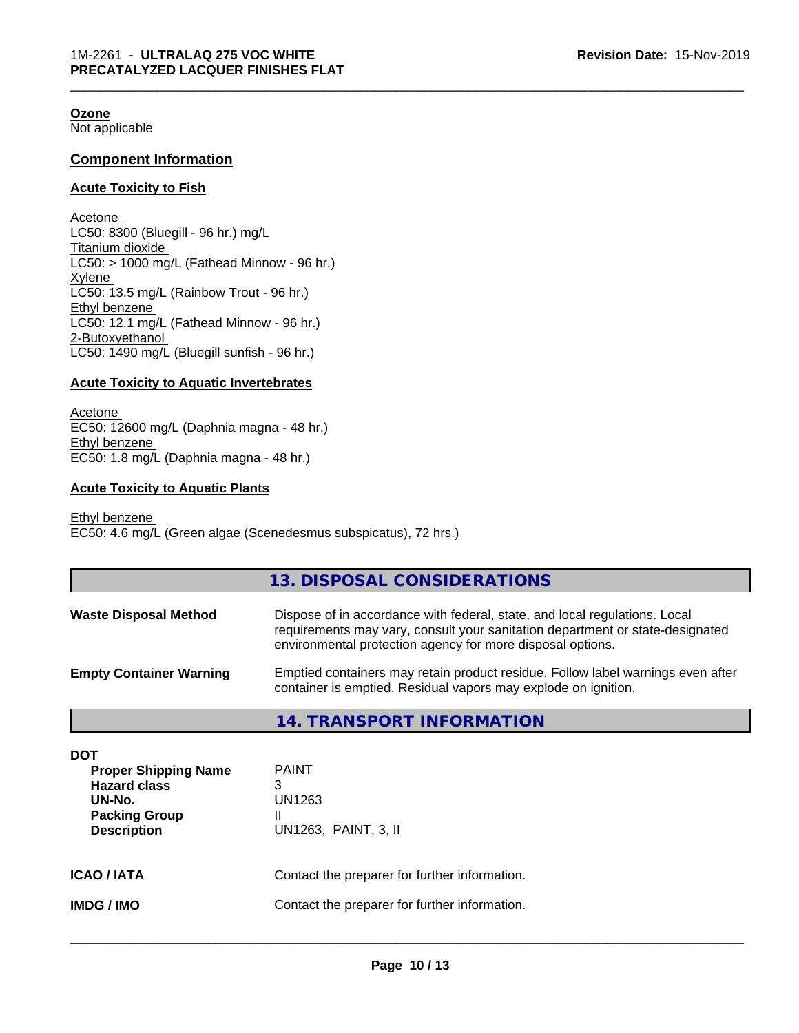#### **Ozone**

Not applicable

#### **Component Information**

#### **Acute Toxicity to Fish**

Acetone LC50: 8300 (Bluegill - 96 hr.) mg/L Titanium dioxide  $LC50:$  > 1000 mg/L (Fathead Minnow - 96 hr.) Xylene LC50: 13.5 mg/L (Rainbow Trout - 96 hr.) Ethyl benzene LC50: 12.1 mg/L (Fathead Minnow - 96 hr.) 2-Butoxyethanol LC50: 1490 mg/L (Bluegill sunfish - 96 hr.)

#### **Acute Toxicity to Aquatic Invertebrates**

Acetone EC50: 12600 mg/L (Daphnia magna - 48 hr.) Ethyl benzene EC50: 1.8 mg/L (Daphnia magna - 48 hr.)

#### **Acute Toxicity to Aquatic Plants**

Ethyl benzene EC50: 4.6 mg/L (Green algae (Scenedesmus subspicatus), 72 hrs.)

|                                | 13. DISPOSAL CONSIDERATIONS                                                                                                                                                                                               |
|--------------------------------|---------------------------------------------------------------------------------------------------------------------------------------------------------------------------------------------------------------------------|
| <b>Waste Disposal Method</b>   | Dispose of in accordance with federal, state, and local regulations. Local<br>requirements may vary, consult your sanitation department or state-designated<br>environmental protection agency for more disposal options. |
| <b>Empty Container Warning</b> | Emptied containers may retain product residue. Follow label warnings even after<br>container is emptied. Residual vapors may explode on ignition.                                                                         |
|                                | 14. TRANSPORT INFORMATION                                                                                                                                                                                                 |

| DOT<br><b>Proper Shipping Name</b><br><b>Hazard class</b><br>UN-No.<br><b>Packing Group</b><br><b>Description</b> | <b>PAINT</b><br>3<br>UN1263<br>Ш<br>UN1263, PAINT, 3, II |
|-------------------------------------------------------------------------------------------------------------------|----------------------------------------------------------|
| <b>ICAO/IATA</b>                                                                                                  | Contact the preparer for further information.            |
| <b>IMDG / IMO</b>                                                                                                 | Contact the preparer for further information.            |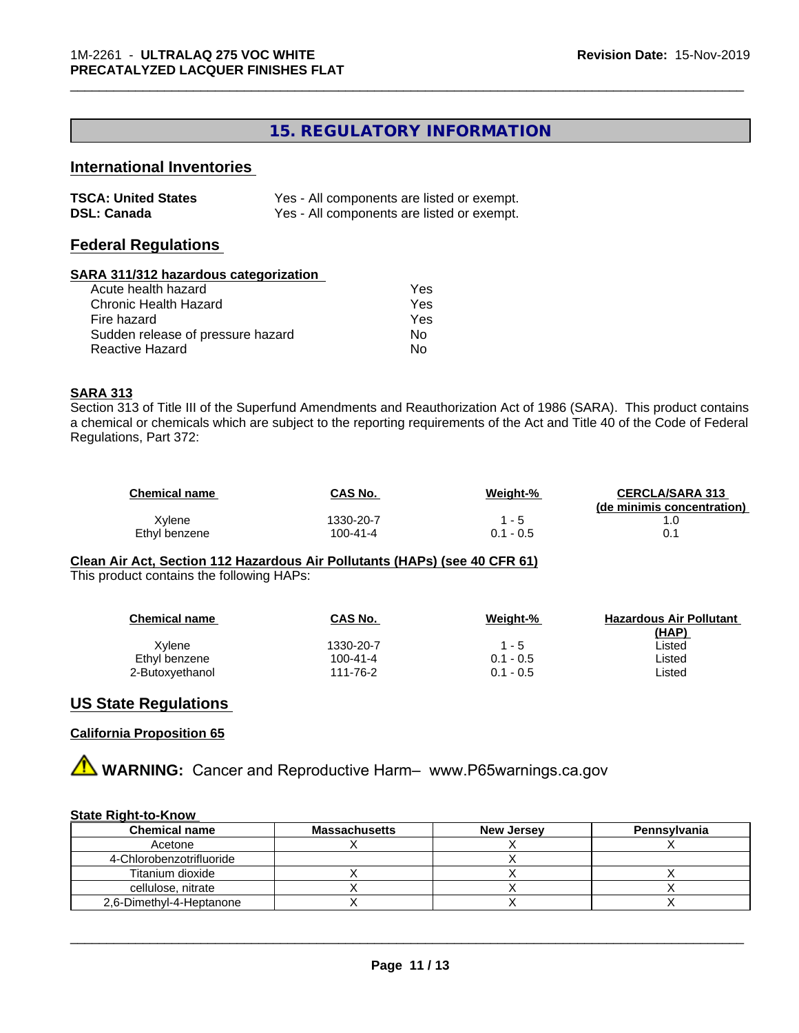# **15. REGULATORY INFORMATION**

\_\_\_\_\_\_\_\_\_\_\_\_\_\_\_\_\_\_\_\_\_\_\_\_\_\_\_\_\_\_\_\_\_\_\_\_\_\_\_\_\_\_\_\_\_\_\_\_\_\_\_\_\_\_\_\_\_\_\_\_\_\_\_\_\_\_\_\_\_\_\_\_\_\_\_\_\_\_\_\_\_\_\_\_\_\_\_\_\_\_\_\_\_

## **International Inventories**

| <b>TSCA: United States</b> | Yes - All components are listed or exempt. |
|----------------------------|--------------------------------------------|
| <b>DSL: Canada</b>         | Yes - All components are listed or exempt. |

#### **Federal Regulations**

#### **SARA 311/312 hazardous categorization**

| Acute health hazard               | Yes |
|-----------------------------------|-----|
| Chronic Health Hazard             | Yes |
| Fire hazard                       | Yes |
| Sudden release of pressure hazard | N٥  |
| Reactive Hazard                   | N٥  |

#### **SARA 313**

Section 313 of Title III of the Superfund Amendments and Reauthorization Act of 1986 (SARA). This product contains a chemical or chemicals which are subject to the reporting requirements of the Act and Title 40 of the Code of Federal Regulations, Part 372:

| <b>Chemical name</b> | CAS No.   | Weight-%    | <b>CERCLA/SARA 313</b>     |
|----------------------|-----------|-------------|----------------------------|
|                      |           |             | (de minimis concentration) |
| Xvlene               | 1330-20-7 | ' - 5       |                            |
| Ethyl benzene        | 100-41-4  | $0.1 - 0.5$ | 0.1                        |

**Clean Air Act,Section 112 Hazardous Air Pollutants (HAPs) (see 40 CFR 61)** This product contains the following HAPs:

| <b>Chemical name</b> | CAS No.   | Weight-%    | <b>Hazardous Air Pollutant</b> |
|----------------------|-----------|-------------|--------------------------------|
|                      |           |             | (HAP)                          |
| Xvlene               | 1330-20-7 | 1 - 5       | ∟isted                         |
| Ethyl benzene        | 100-41-4  | $0.1 - 0.5$ | ∟isted                         |
| 2-Butoxyethanol      | 111-76-2  | $0.1 - 0.5$ | ∟isted                         |
|                      |           |             |                                |

### **US State Regulations**

#### **California Proposition 65**

**AVIMARNING:** Cancer and Reproductive Harm– www.P65warnings.ca.gov

#### **State Right-to-Know**

| <b>Chemical name</b>     | <b>Massachusetts</b> | <b>New Jersey</b> | Pennsylvania |
|--------------------------|----------------------|-------------------|--------------|
| Acetone                  |                      |                   |              |
| 4-Chlorobenzotrifluoride |                      |                   |              |
| Titanium dioxide         |                      |                   |              |
| cellulose, nitrate       |                      |                   |              |
| 2.6-Dimethyl-4-Heptanone |                      |                   |              |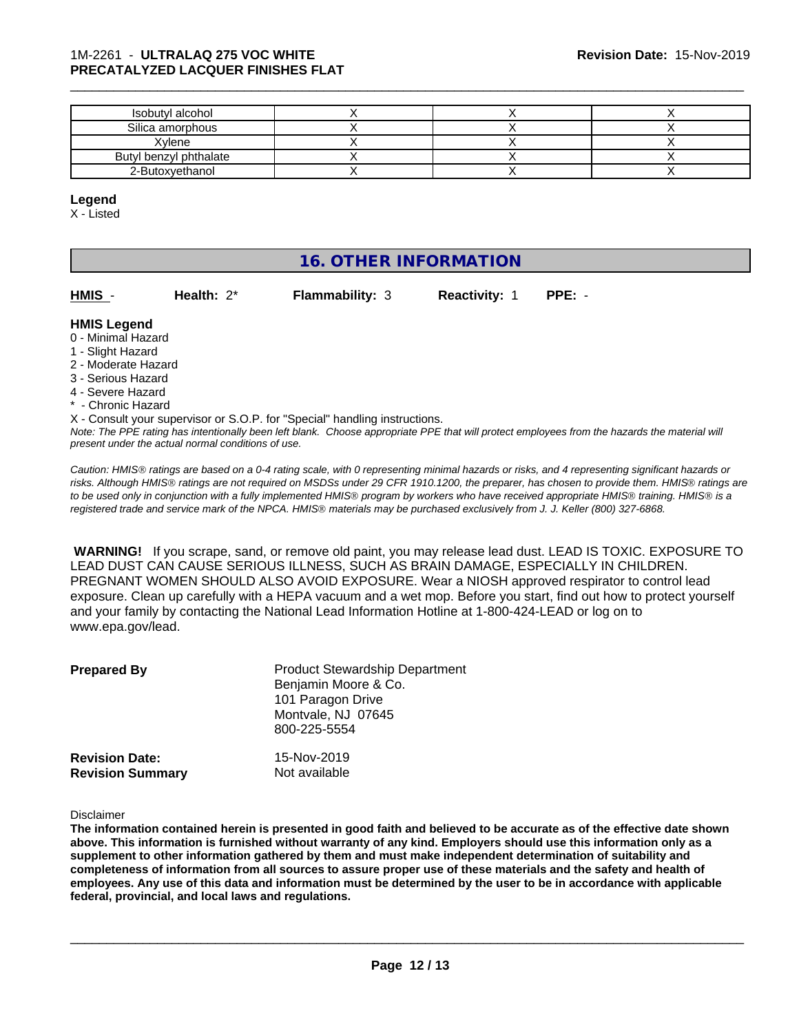#### 1M-2261 - **ULTRALAQ 275 VOC WHITE PRECATALYZED LACQUER FINISHES FLAT**

| Isobutyl alcohol       |  |  |
|------------------------|--|--|
| Silica amorphous       |  |  |
| Xvlene                 |  |  |
| Butyl benzyl phthalate |  |  |
| 2-Butoxyethanol        |  |  |

\_\_\_\_\_\_\_\_\_\_\_\_\_\_\_\_\_\_\_\_\_\_\_\_\_\_\_\_\_\_\_\_\_\_\_\_\_\_\_\_\_\_\_\_\_\_\_\_\_\_\_\_\_\_\_\_\_\_\_\_\_\_\_\_\_\_\_\_\_\_\_\_\_\_\_\_\_\_\_\_\_\_\_\_\_\_\_\_\_\_\_\_\_

#### **Legend**

X - Listed

# **16. OTHER INFORMATION**

| HMIS - | Health: 2* | <b>Flammability: 3</b> | <b>Reactivity: 1 PPE: -</b> |  |
|--------|------------|------------------------|-----------------------------|--|
|        |            |                        |                             |  |

#### **HMIS Legend**

- 0 Minimal Hazard
- 1 Slight Hazard
- 2 Moderate Hazard
- 3 Serious Hazard
- 4 Severe Hazard
- \* Chronic Hazard

*Note: The PPE rating has intentionally been left blank. Choose appropriate PPE that will protect employees from the hazards the material will* X - Consult your supervisor or S.O.P. for "Special" handling instructions.

*present under the actual normal conditions of use.*

*Caution: HMISÒ ratings are based on a 0-4 rating scale, with 0 representing minimal hazards or risks, and 4 representing significant hazards or risks. Although HMISÒ ratings are not required on MSDSs under 29 CFR 1910.1200, the preparer, has chosen to provide them. HMISÒ ratings are to be used only in conjunction with a fully implemented HMISÒ program by workers who have received appropriate HMISÒ training. HMISÒ is a registered trade and service mark of the NPCA. HMISÒ materials may be purchased exclusively from J. J. Keller (800) 327-6868.*

 **WARNING!** If you scrape, sand, or remove old paint, you may release lead dust. LEAD IS TOXIC. EXPOSURE TO LEAD DUST CAN CAUSE SERIOUS ILLNESS, SUCH AS BRAIN DAMAGE, ESPECIALLY IN CHILDREN. PREGNANT WOMEN SHOULD ALSO AVOID EXPOSURE.Wear a NIOSH approved respirator to control lead exposure. Clean up carefully with a HEPA vacuum and a wet mop. Before you start, find out how to protect yourself and your family by contacting the National Lead Information Hotline at 1-800-424-LEAD or log on to www.epa.gov/lead.

| <b>Prepared By</b>                               | <b>Product Stewardship Department</b><br>Benjamin Moore & Co.<br>101 Paragon Drive<br>Montvale, NJ 07645<br>800-225-5554 |  |
|--------------------------------------------------|--------------------------------------------------------------------------------------------------------------------------|--|
| <b>Revision Date:</b><br><b>Revision Summary</b> | 15-Nov-2019<br>Not available                                                                                             |  |

Disclaimer

The information contained herein is presented in good faith and believed to be accurate as of the effective date shown above. This information is furnished without warranty of any kind. Employers should use this information only as a **supplement to other information gathered by them and must make independent determination of suitability and** completeness of information from all sources to assure proper use of these materials and the safety and health of employees. Any use of this data and information must be determined by the user to be in accordance with applicable **federal, provincial, and local laws and regulations.**